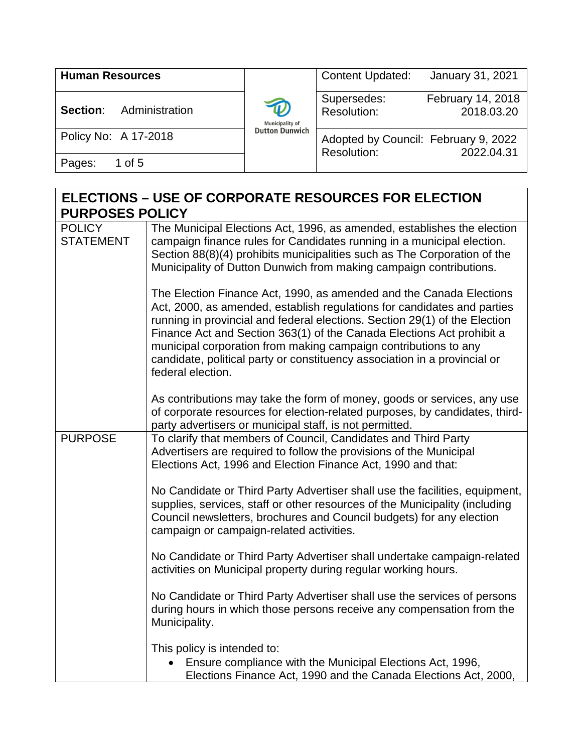| <b>Human Resources</b>     |                             | <b>Content Updated:</b>                             | January 31, 2021                |
|----------------------------|-----------------------------|-----------------------------------------------------|---------------------------------|
| Administration<br>Section: | D<br><b>Municipality of</b> | Supersedes:<br>Resolution:                          | February 14, 2018<br>2018.03.20 |
| Policy No: A 17-2018       | <b>Dutton Dunwich</b>       | Adopted by Council: February 9, 2022<br>Resolution: | 2022.04.31                      |
| Pages:<br>1 of 5           |                             |                                                     |                                 |

| <b>ELECTIONS – USE OF CORPORATE RESOURCES FOR ELECTION</b> |                  |                                                                                                                                                                                                                                                                                                                                                                                                                                                                            |  |
|------------------------------------------------------------|------------------|----------------------------------------------------------------------------------------------------------------------------------------------------------------------------------------------------------------------------------------------------------------------------------------------------------------------------------------------------------------------------------------------------------------------------------------------------------------------------|--|
| <b>PURPOSES POLICY</b>                                     |                  |                                                                                                                                                                                                                                                                                                                                                                                                                                                                            |  |
| <b>POLICY</b>                                              | <b>STATEMENT</b> | The Municipal Elections Act, 1996, as amended, establishes the election<br>campaign finance rules for Candidates running in a municipal election.<br>Section 88(8)(4) prohibits municipalities such as The Corporation of the<br>Municipality of Dutton Dunwich from making campaign contributions.                                                                                                                                                                        |  |
|                                                            |                  | The Election Finance Act, 1990, as amended and the Canada Elections<br>Act, 2000, as amended, establish regulations for candidates and parties<br>running in provincial and federal elections. Section 29(1) of the Election<br>Finance Act and Section 363(1) of the Canada Elections Act prohibit a<br>municipal corporation from making campaign contributions to any<br>candidate, political party or constituency association in a provincial or<br>federal election. |  |
|                                                            |                  | As contributions may take the form of money, goods or services, any use<br>of corporate resources for election-related purposes, by candidates, third-<br>party advertisers or municipal staff, is not permitted.                                                                                                                                                                                                                                                          |  |
|                                                            | <b>PURPOSE</b>   | To clarify that members of Council, Candidates and Third Party<br>Advertisers are required to follow the provisions of the Municipal<br>Elections Act, 1996 and Election Finance Act, 1990 and that:                                                                                                                                                                                                                                                                       |  |
|                                                            |                  | No Candidate or Third Party Advertiser shall use the facilities, equipment,<br>supplies, services, staff or other resources of the Municipality (including<br>Council newsletters, brochures and Council budgets) for any election<br>campaign or campaign-related activities.                                                                                                                                                                                             |  |
|                                                            |                  | No Candidate or Third Party Advertiser shall undertake campaign-related<br>activities on Municipal property during regular working hours.                                                                                                                                                                                                                                                                                                                                  |  |
|                                                            |                  | No Candidate or Third Party Advertiser shall use the services of persons<br>during hours in which those persons receive any compensation from the<br>Municipality.                                                                                                                                                                                                                                                                                                         |  |
|                                                            |                  | This policy is intended to:<br>Ensure compliance with the Municipal Elections Act, 1996,<br>Elections Finance Act, 1990 and the Canada Elections Act, 2000,                                                                                                                                                                                                                                                                                                                |  |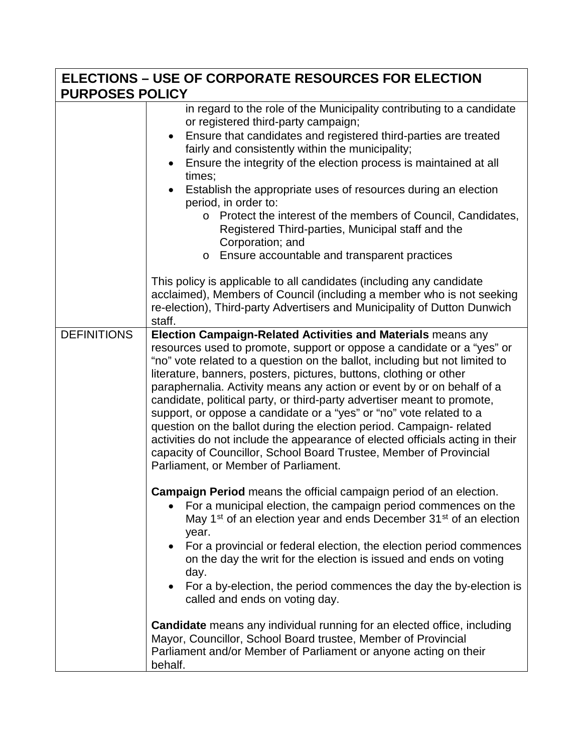| <b>ELECTIONS - USE OF CORPORATE RESOURCES FOR ELECTION</b><br><b>PURPOSES POLICY</b> |                                                                                                                                                                                                                                                                                                                                                                                                                                                                                                                                                                                                                                                                                                                                                                                               |
|--------------------------------------------------------------------------------------|-----------------------------------------------------------------------------------------------------------------------------------------------------------------------------------------------------------------------------------------------------------------------------------------------------------------------------------------------------------------------------------------------------------------------------------------------------------------------------------------------------------------------------------------------------------------------------------------------------------------------------------------------------------------------------------------------------------------------------------------------------------------------------------------------|
|                                                                                      | in regard to the role of the Municipality contributing to a candidate<br>or registered third-party campaign;<br>Ensure that candidates and registered third-parties are treated<br>$\bullet$<br>fairly and consistently within the municipality;<br>Ensure the integrity of the election process is maintained at all<br>times;<br>Establish the appropriate uses of resources during an election<br>period, in order to:<br>o Protect the interest of the members of Council, Candidates,<br>Registered Third-parties, Municipal staff and the<br>Corporation; and<br>Ensure accountable and transparent practices<br>$\circ$<br>This policy is applicable to all candidates (including any candidate                                                                                        |
|                                                                                      | acclaimed), Members of Council (including a member who is not seeking<br>re-election), Third-party Advertisers and Municipality of Dutton Dunwich<br>staff.                                                                                                                                                                                                                                                                                                                                                                                                                                                                                                                                                                                                                                   |
| <b>DEFINITIONS</b>                                                                   | Election Campaign-Related Activities and Materials means any<br>resources used to promote, support or oppose a candidate or a "yes" or<br>"no" vote related to a question on the ballot, including but not limited to<br>literature, banners, posters, pictures, buttons, clothing or other<br>paraphernalia. Activity means any action or event by or on behalf of a<br>candidate, political party, or third-party advertiser meant to promote,<br>support, or oppose a candidate or a "yes" or "no" vote related to a<br>question on the ballot during the election period. Campaign-related<br>activities do not include the appearance of elected officials acting in their<br>capacity of Councillor, School Board Trustee, Member of Provincial<br>Parliament, or Member of Parliament. |
|                                                                                      | Campaign Period means the official campaign period of an election.<br>For a municipal election, the campaign period commences on the<br>May 1 <sup>st</sup> of an election year and ends December 31 <sup>st</sup> of an election<br>year.<br>For a provincial or federal election, the election period commences<br>on the day the writ for the election is issued and ends on voting<br>day.<br>For a by-election, the period commences the day the by-election is<br>called and ends on voting day.                                                                                                                                                                                                                                                                                        |
|                                                                                      | <b>Candidate</b> means any individual running for an elected office, including<br>Mayor, Councillor, School Board trustee, Member of Provincial<br>Parliament and/or Member of Parliament or anyone acting on their<br>behalf.                                                                                                                                                                                                                                                                                                                                                                                                                                                                                                                                                                |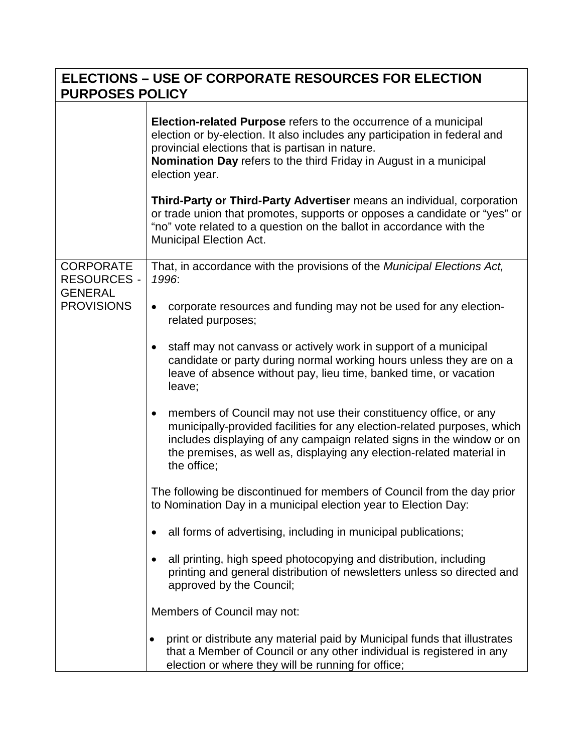| <b>PURPOSES POLICY</b>                                                        | <b>ELECTIONS – USE OF CORPORATE RESOURCES FOR ELECTION</b>                                                                                                                                                                                                                                                                                                                                                                                                      |
|-------------------------------------------------------------------------------|-----------------------------------------------------------------------------------------------------------------------------------------------------------------------------------------------------------------------------------------------------------------------------------------------------------------------------------------------------------------------------------------------------------------------------------------------------------------|
|                                                                               | <b>Election-related Purpose</b> refers to the occurrence of a municipal<br>election or by-election. It also includes any participation in federal and<br>provincial elections that is partisan in nature.<br><b>Nomination Day</b> refers to the third Friday in August in a municipal<br>election year.<br>Third-Party or Third-Party Advertiser means an individual, corporation<br>or trade union that promotes, supports or opposes a candidate or "yes" or |
|                                                                               | "no" vote related to a question on the ballot in accordance with the<br><b>Municipal Election Act.</b>                                                                                                                                                                                                                                                                                                                                                          |
| <b>CORPORATE</b><br><b>RESOURCES -</b><br><b>GENERAL</b><br><b>PROVISIONS</b> | That, in accordance with the provisions of the Municipal Elections Act,<br>1996:                                                                                                                                                                                                                                                                                                                                                                                |
|                                                                               | corporate resources and funding may not be used for any election-<br>$\bullet$<br>related purposes;                                                                                                                                                                                                                                                                                                                                                             |
|                                                                               | staff may not canvass or actively work in support of a municipal<br>$\bullet$<br>candidate or party during normal working hours unless they are on a<br>leave of absence without pay, lieu time, banked time, or vacation<br>leave;                                                                                                                                                                                                                             |
|                                                                               | members of Council may not use their constituency office, or any<br>$\bullet$<br>municipally-provided facilities for any election-related purposes, which<br>includes displaying of any campaign related signs in the window or on<br>the premises, as well as, displaying any election-related material in<br>the office;                                                                                                                                      |
|                                                                               | The following be discontinued for members of Council from the day prior<br>to Nomination Day in a municipal election year to Election Day:                                                                                                                                                                                                                                                                                                                      |
|                                                                               | all forms of advertising, including in municipal publications;<br>٠                                                                                                                                                                                                                                                                                                                                                                                             |
|                                                                               | all printing, high speed photocopying and distribution, including<br>printing and general distribution of newsletters unless so directed and<br>approved by the Council;                                                                                                                                                                                                                                                                                        |
|                                                                               | Members of Council may not:                                                                                                                                                                                                                                                                                                                                                                                                                                     |
|                                                                               | print or distribute any material paid by Municipal funds that illustrates<br>that a Member of Council or any other individual is registered in any<br>election or where they will be running for office;                                                                                                                                                                                                                                                        |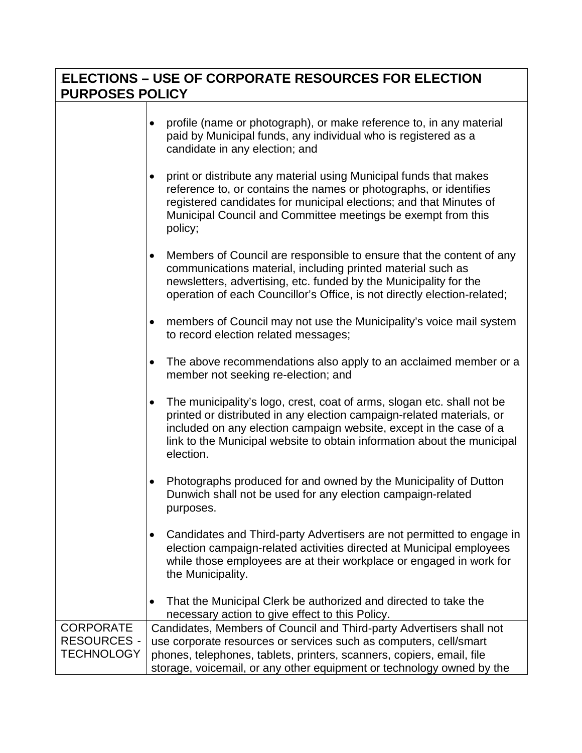## 0B**ELECTIONS – USE OF CORPORATE RESOURCES FOR ELECTION PURPOSES POLICY**

|                                                             | profile (name or photograph), or make reference to, in any material<br>paid by Municipal funds, any individual who is registered as a<br>candidate in any election; and                                                                                                                                                    |
|-------------------------------------------------------------|----------------------------------------------------------------------------------------------------------------------------------------------------------------------------------------------------------------------------------------------------------------------------------------------------------------------------|
|                                                             | print or distribute any material using Municipal funds that makes<br>reference to, or contains the names or photographs, or identifies<br>registered candidates for municipal elections; and that Minutes of<br>Municipal Council and Committee meetings be exempt from this<br>policy;                                    |
|                                                             | Members of Council are responsible to ensure that the content of any<br>$\bullet$<br>communications material, including printed material such as<br>newsletters, advertising, etc. funded by the Municipality for the<br>operation of each Councillor's Office, is not directly election-related;                          |
|                                                             | members of Council may not use the Municipality's voice mail system<br>to record election related messages;                                                                                                                                                                                                                |
|                                                             | The above recommendations also apply to an acclaimed member or a<br>$\bullet$<br>member not seeking re-election; and                                                                                                                                                                                                       |
|                                                             | The municipality's logo, crest, coat of arms, slogan etc. shall not be<br>$\bullet$<br>printed or distributed in any election campaign-related materials, or<br>included on any election campaign website, except in the case of a<br>link to the Municipal website to obtain information about the municipal<br>election. |
|                                                             | Photographs produced for and owned by the Municipality of Dutton<br>Dunwich shall not be used for any election campaign-related<br>purposes.                                                                                                                                                                               |
|                                                             | Candidates and Third-party Advertisers are not permitted to engage in<br>election campaign-related activities directed at Municipal employees<br>while those employees are at their workplace or engaged in work for<br>the Municipality.                                                                                  |
|                                                             | That the Municipal Clerk be authorized and directed to take the<br>necessary action to give effect to this Policy.                                                                                                                                                                                                         |
| <b>CORPORATE</b><br><b>RESOURCES -</b><br><b>TECHNOLOGY</b> | Candidates, Members of Council and Third-party Advertisers shall not<br>use corporate resources or services such as computers, cell/smart<br>phones, telephones, tablets, printers, scanners, copiers, email, file<br>storage, voicemail, or any other equipment or technology owned by the                                |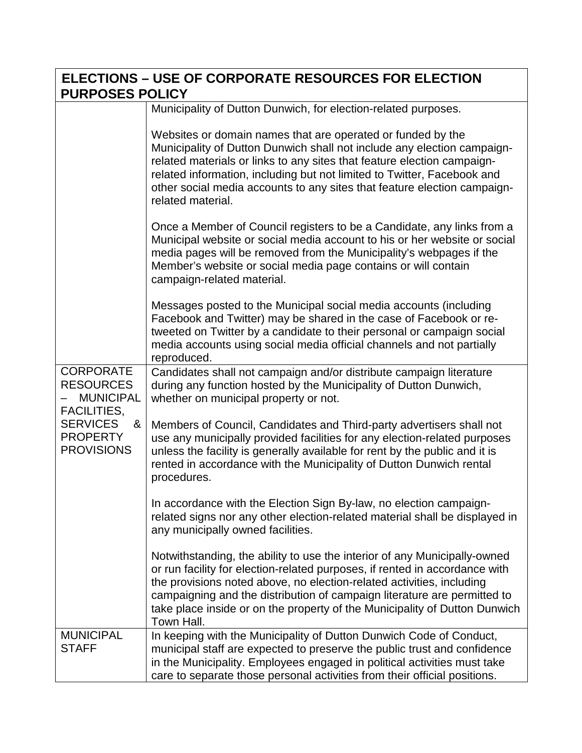| <b>ELECTIONS - USE OF CORPORATE RESOURCES FOR ELECTION</b><br><b>PURPOSES POLICY</b>                                                           |                                                                                                                                                                                                                                                                                                                                                                                                           |
|------------------------------------------------------------------------------------------------------------------------------------------------|-----------------------------------------------------------------------------------------------------------------------------------------------------------------------------------------------------------------------------------------------------------------------------------------------------------------------------------------------------------------------------------------------------------|
|                                                                                                                                                | Municipality of Dutton Dunwich, for election-related purposes.                                                                                                                                                                                                                                                                                                                                            |
| <b>CORPORATE</b><br><b>RESOURCES</b><br><b>MUNICIPAL</b><br><b>FACILITIES,</b><br><b>SERVICES</b><br>&<br><b>PROPERTY</b><br><b>PROVISIONS</b> | Websites or domain names that are operated or funded by the<br>Municipality of Dutton Dunwich shall not include any election campaign-<br>related materials or links to any sites that feature election campaign-<br>related information, including but not limited to Twitter, Facebook and<br>other social media accounts to any sites that feature election campaign-<br>related material.             |
|                                                                                                                                                | Once a Member of Council registers to be a Candidate, any links from a<br>Municipal website or social media account to his or her website or social<br>media pages will be removed from the Municipality's webpages if the<br>Member's website or social media page contains or will contain<br>campaign-related material.                                                                                |
|                                                                                                                                                | Messages posted to the Municipal social media accounts (including<br>Facebook and Twitter) may be shared in the case of Facebook or re-<br>tweeted on Twitter by a candidate to their personal or campaign social<br>media accounts using social media official channels and not partially<br>reproduced.                                                                                                 |
|                                                                                                                                                | Candidates shall not campaign and/or distribute campaign literature<br>during any function hosted by the Municipality of Dutton Dunwich,<br>whether on municipal property or not.                                                                                                                                                                                                                         |
|                                                                                                                                                | Members of Council, Candidates and Third-party advertisers shall not<br>use any municipally provided facilities for any election-related purposes<br>unless the facility is generally available for rent by the public and it is<br>rented in accordance with the Municipality of Dutton Dunwich rental<br>procedures.                                                                                    |
|                                                                                                                                                | In accordance with the Election Sign By-law, no election campaign-<br>related signs nor any other election-related material shall be displayed in<br>any municipally owned facilities.                                                                                                                                                                                                                    |
|                                                                                                                                                | Notwithstanding, the ability to use the interior of any Municipally-owned<br>or run facility for election-related purposes, if rented in accordance with<br>the provisions noted above, no election-related activities, including<br>campaigning and the distribution of campaign literature are permitted to<br>take place inside or on the property of the Municipality of Dutton Dunwich<br>Town Hall. |
| <b>MUNICIPAL</b><br><b>STAFF</b>                                                                                                               | In keeping with the Municipality of Dutton Dunwich Code of Conduct,<br>municipal staff are expected to preserve the public trust and confidence<br>in the Municipality. Employees engaged in political activities must take<br>care to separate those personal activities from their official positions.                                                                                                  |